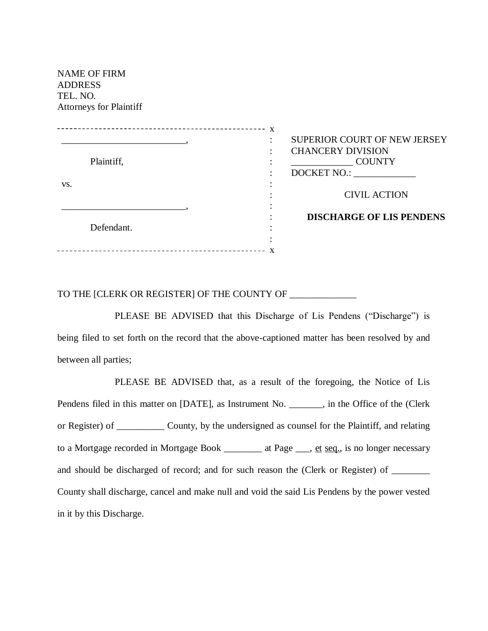| <b>ADDRESS</b><br>TEL. NO. | <b>NAME OF FIRM</b><br><b>Attorneys for Plaintiff</b> |   |                                                                                                                 |
|----------------------------|-------------------------------------------------------|---|-----------------------------------------------------------------------------------------------------------------|
| VS.                        | Plaintiff,                                            | X | SUPERIOR COURT OF NEW JERSEY<br><b>CHANCERY DIVISION</b><br><b>COUNTY</b><br>DOCKET NO.:<br><b>CIVIL ACTION</b> |
|                            | Defendant.                                            |   | <b>DISCHARGE OF LIS PENDENS</b>                                                                                 |

## TO THE [CLERK OR REGISTER] OF THE COUNTY OF \_\_\_\_\_\_\_\_\_\_\_\_\_\_

PLEASE BE ADVISED that this Discharge of Lis Pendens ("Discharge") is being filed to set forth on the record that the above-captioned matter has been resolved by and between all parties;

PLEASE BE ADVISED that, as a result of the foregoing, the Notice of Lis Pendens filed in this matter on [DATE], as Instrument No. \_\_\_\_\_\_, in the Office of the (Clerk or Register) of \_\_\_\_\_\_\_\_\_\_ County, by the undersigned as counsel for the Plaintiff, and relating to a Mortgage recorded in Mortgage Book \_\_\_\_\_\_\_\_ at Page \_\_\_, et seq., is no longer necessary and should be discharged of record; and for such reason the (Clerk or Register) of \_\_\_\_\_\_ County shall discharge, cancel and make null and void the said Lis Pendens by the power vested in it by this Discharge.